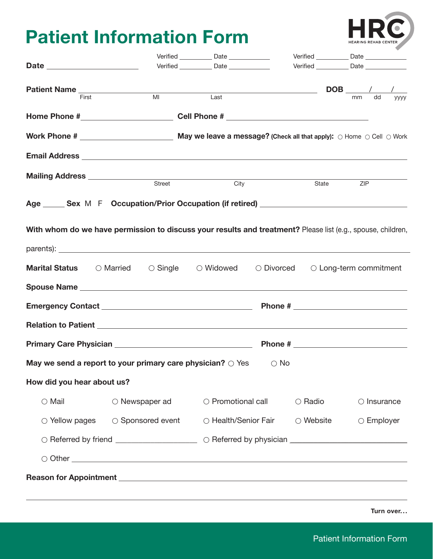## **Patient Information Form**

|                                 |                                                                                                                                                                                                                                     | Verified _____________ Date ______________  |                                                                                                                       | Verified _____________ Date ______________  |                       |             |
|---------------------------------|-------------------------------------------------------------------------------------------------------------------------------------------------------------------------------------------------------------------------------------|---------------------------------------------|-----------------------------------------------------------------------------------------------------------------------|---------------------------------------------|-----------------------|-------------|
|                                 |                                                                                                                                                                                                                                     | Verified ______________ Date ______________ |                                                                                                                       | Verified ______________ Date ______________ |                       |             |
|                                 |                                                                                                                                                                                                                                     |                                             |                                                                                                                       |                                             |                       |             |
| Patient Name<br>First           | <b>MI</b>                                                                                                                                                                                                                           | Last                                        | <u> 1980 - Johann Barn, mars eta bainar eta industrial eta baina eta baina eta baina eta baina eta baina eta bain</u> |                                             | $DOB$ / /<br>dd<br>mm | <b>VVVV</b> |
|                                 |                                                                                                                                                                                                                                     |                                             |                                                                                                                       |                                             |                       |             |
|                                 |                                                                                                                                                                                                                                     |                                             |                                                                                                                       |                                             |                       |             |
|                                 | <b>Email Address</b> Letters and the second contract of the second contract of the second contract of the second contract of the second contract of the second contract of the second contract of the second contract of the second |                                             |                                                                                                                       |                                             |                       |             |
| Mailing Address _______________ |                                                                                                                                                                                                                                     | Street                                      |                                                                                                                       |                                             |                       |             |
|                                 |                                                                                                                                                                                                                                     |                                             | City                                                                                                                  | State                                       | ZIP                   |             |
|                                 | Age Sex M F Occupation/Prior Occupation (if retired)                                                                                                                                                                                |                                             |                                                                                                                       |                                             |                       |             |
|                                 | With whom do we have permission to discuss your results and treatment? Please list (e.g., spouse, children,                                                                                                                         |                                             |                                                                                                                       |                                             |                       |             |
|                                 |                                                                                                                                                                                                                                     |                                             |                                                                                                                       |                                             |                       |             |
|                                 | <b>Marital Status</b> $\bigcirc$ Married $\bigcirc$ Single $\bigcirc$ Widowed $\bigcirc$ Divorced $\bigcirc$ Long-term commitment                                                                                                   |                                             |                                                                                                                       |                                             |                       |             |
|                                 |                                                                                                                                                                                                                                     |                                             |                                                                                                                       |                                             |                       |             |
|                                 |                                                                                                                                                                                                                                     |                                             |                                                                                                                       |                                             |                       |             |
|                                 |                                                                                                                                                                                                                                     |                                             |                                                                                                                       |                                             |                       |             |
|                                 |                                                                                                                                                                                                                                     |                                             |                                                                                                                       |                                             |                       |             |
|                                 | May we send a report to your primary care physician? $\bigcirc$ Yes                                                                                                                                                                 |                                             | $\circ$ No                                                                                                            |                                             |                       |             |
| How did you hear about us?      |                                                                                                                                                                                                                                     |                                             |                                                                                                                       |                                             |                       |             |
| $\circ$ Mail                    | ○ Newspaper ad                                                                                                                                                                                                                      |                                             | ○ Promotional call                                                                                                    | $\circ$ Radio                               | $\circ$ Insurance     |             |
| $\circ$ Yellow pages            | $\circ$ Sponsored event                                                                                                                                                                                                             |                                             | ○ Health/Senior Fair                                                                                                  | $\circlearrowright$ Website                 | $\circ$ Employer      |             |
|                                 |                                                                                                                                                                                                                                     |                                             |                                                                                                                       |                                             |                       |             |
|                                 | $\circ$ Other $\overline{\phantom{a}}$                                                                                                                                                                                              |                                             |                                                                                                                       |                                             |                       |             |
|                                 | <b>Reason for Appointment</b> <u>Construction and the construction of the construction of the construction</u>                                                                                                                      |                                             |                                                                                                                       |                                             |                       |             |
|                                 | ,我们也不能会有什么。""我们的人,我们也不能会有什么?""我们的人,我们也不能会有什么?""我们的人,我们也不能会有什么?""我们的人,我们也不能会有什么?""                                                                                                                                                   |                                             |                                                                                                                       |                                             |                       |             |
|                                 |                                                                                                                                                                                                                                     |                                             |                                                                                                                       |                                             | Turn over             |             |

HR

HEARING REHAB CENTER